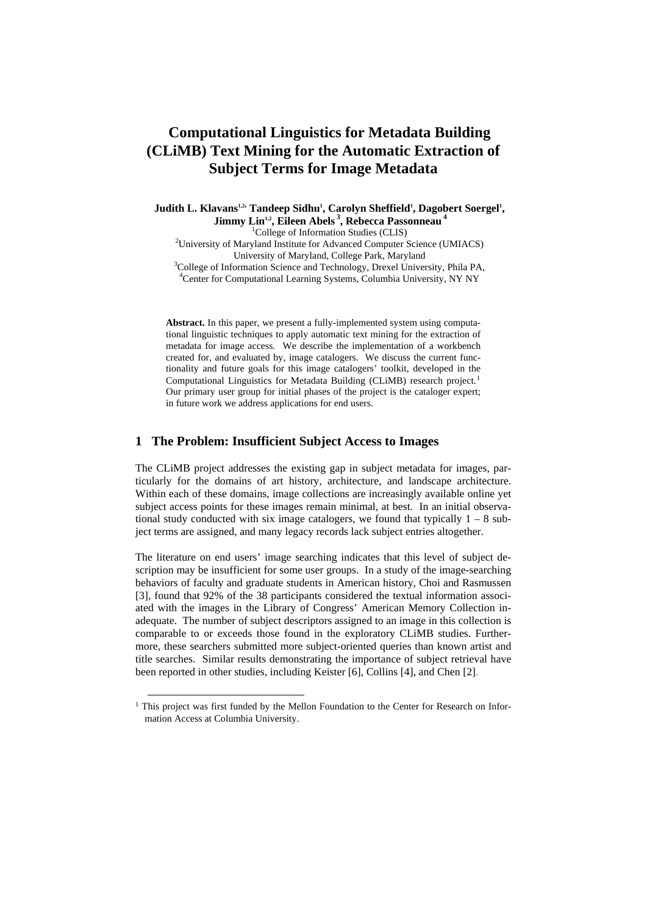# **Computational Linguistics for Metadata Building (CLiMB) Text Mining for the Automatic Extraction of Subject Terms for Image Metadata**

Judith L. Klavans<sup>1,2,</sup> Tandeep Sidhu<sup>1</sup>, Carolyn Sheffield<sup>1</sup>, Dagobert Soergel<sup>1</sup>, **Jimmy Lin<sup>1,2</sup>, Eileen Abels<sup>3</sup>, Rebecca Passonneau<sup>4</sup><sup>1</sup>College of Information Studies (CLIS)** <sup>1</sup>College of Information Studies (CLIS)<br><sup>2</sup>University of Maryland Institute for Advanced Computer Science (UMIACS) University of Maryland, College Park, Maryland 3 <sup>3</sup>College of Information Science and Technology, Drexel University, Phila PA, <sup>4</sup>Center for Computational Learning Systems, Columbia University, NY NY

**Abstract.** In this paper, we present a fully-implemented system using computational linguistic techniques to apply automatic text mining for the extraction of metadata for image access. We describe the implementation of a workbench created for, and evaluated by, image catalogers. We discuss the current functionality and future goals for this image catalogers' toolkit, developed in the Computational Linguistics for Metadata Building (CLiMB) research project.<sup>[1](#page-0-0)</sup> Our primary user group for initial phases of the project is the cataloger expert; in future work we address applications for end users.

#### **1 The Problem: Insufficient Subject Access to Images**

The CLiMB project addresses the existing gap in subject metadata for images, particularly for the domains of art history, architecture, and landscape architecture. Within each of these domains, image collections are increasingly available online yet subject access points for these images remain minimal, at best. In an initial observational study conducted with six image catalogers, we found that typically  $1 - 8$  subject terms are assigned, and many legacy records lack subject entries altogether.

The literature on end users' image searching indicates that this level of subject description may be insufficient for some user groups. In a study of the image-searching behaviors of faculty and graduate students in American history, Choi and Rasmussen [3], found that 92% of the 38 participants considered the textual information associated with the images in the Library of Congress' American Memory Collection inadequate. The number of subject descriptors assigned to an image in this collection is comparable to or exceeds those found in the exploratory CLiMB studies. Furthermore, these searchers submitted more subject-oriented queries than known artist and title searches. Similar results demonstrating the importance of subject retrieval have been reported in other studies, including Keister [6], Collins [4], and Chen [2].

<span id="page-0-0"></span> <sup>1</sup> This project was first funded by the Mellon Foundation to the Center for Research on Information Access at Columbia University.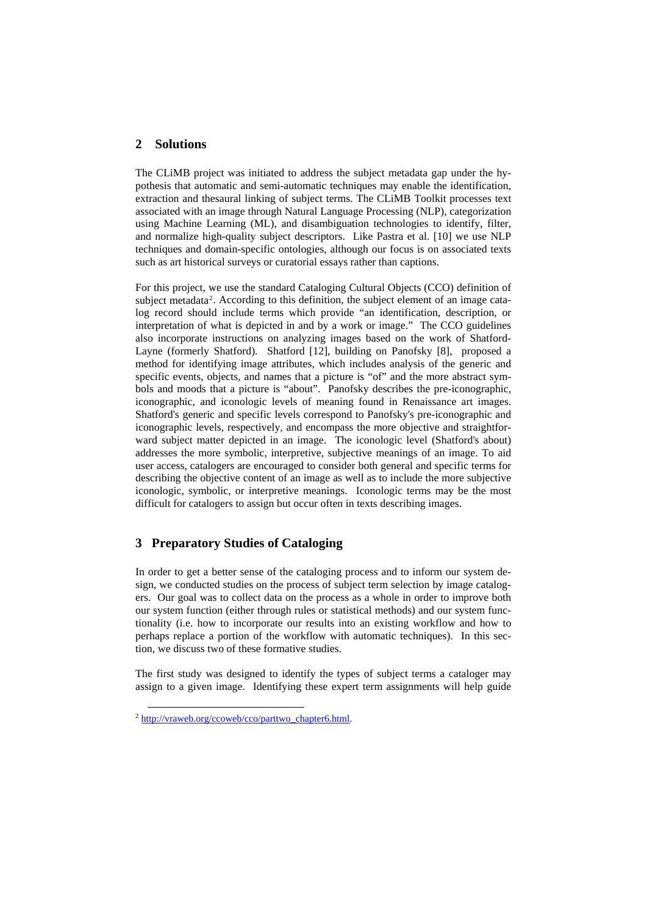#### **2 Solutions**

The CLiMB project was initiated to address the subject metadata gap under the hypothesis that automatic and semi-automatic techniques may enable the identification, extraction and thesaural linking of subject terms. The CLiMB Toolkit processes text associated with an image through Natural Language Processing (NLP), categorization using Machine Learning (ML), and disambiguation technologies to identify, filter, and normalize high-quality subject descriptors. Like Pastra et al. [10] we use NLP techniques and domain-specific ontologies, although our focus is on associated texts such as art historical surveys or curatorial essays rather than captions.

For this project, we use the standard Cataloging Cultural Objects (CCO) definition of subject metadata<sup>[2](#page-1-0)</sup>. According to this definition, the subject element of an image catalog record should include terms which provide "an identification, description, or interpretation of what is depicted in and by a work or image." The CCO guidelines also incorporate instructions on analyzing images based on the work of Shatford-Layne (formerly Shatford). Shatford [12], building on Panofsky [8], proposed a method for identifying image attributes, which includes analysis of the generic and specific events, objects, and names that a picture is "of" and the more abstract symbols and moods that a picture is "about". Panofsky describes the pre-iconographic, iconographic, and iconologic levels of meaning found in Renaissance art images. Shatford's generic and specific levels correspond to Panofsky's pre-iconographic and iconographic levels, respectively, and encompass the more objective and straightforward subject matter depicted in an image. The iconologic level (Shatford's about) addresses the more symbolic, interpretive, subjective meanings of an image. To aid user access, catalogers are encouraged to consider both general and specific terms for describing the objective content of an image as well as to include the more subjective iconologic, symbolic, or interpretive meanings. Iconologic terms may be the most difficult for catalogers to assign but occur often in texts describing images.

## **3 Preparatory Studies of Cataloging**

In order to get a better sense of the cataloging process and to inform our system design, we conducted studies on the process of subject term selection by image catalogers. Our goal was to collect data on the process as a whole in order to improve both our system function (either through rules or statistical methods) and our system functionality (i.e. how to incorporate our results into an existing workflow and how to perhaps replace a portion of the workflow with automatic techniques). In this section, we discuss two of these formative studies.

The first study was designed to identify the types of subject terms a cataloger may assign to a given image. Identifying these expert term assignments will help guide

<span id="page-1-0"></span> <sup>2</sup> [http://vraweb.org/ccoweb/cco/parttwo\\_chapter6.html.](http://vraweb.org/ccoweb/cco/parttwo_chapter6.html)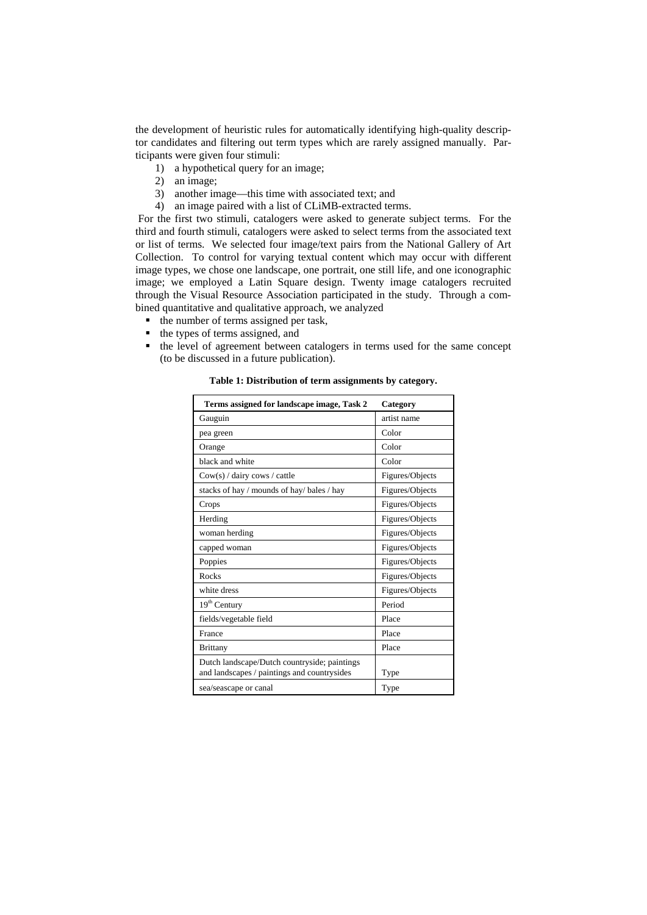the development of heuristic rules for automatically identifying high-quality descriptor candidates and filtering out term types which are rarely assigned manually. Participants were given four stimuli:

- 1) a hypothetical query for an image;
- 2) an image;
- 3) another image—this time with associated text; and
- 4) an image paired with a list of CLiMB-extracted terms.

 For the first two stimuli, catalogers were asked to generate subject terms. For the third and fourth stimuli, catalogers were asked to select terms from the associated text or list of terms. We selected four image/text pairs from the National Gallery of Art Collection. To control for varying textual content which may occur with different image types, we chose one landscape, one portrait, one still life, and one iconographic image; we employed a Latin Square design. Twenty image catalogers recruited through the Visual Resource Association participated in the study. Through a combined quantitative and qualitative approach, we analyzed

- $\blacksquare$  the number of terms assigned per task,
- the types of terms assigned, and
- the level of agreement between catalogers in terms used for the same concept (to be discussed in a future publication).

| Terms assigned for landscape image, Task 2                                                  | Category        |
|---------------------------------------------------------------------------------------------|-----------------|
| Gauguin                                                                                     | artist name     |
| pea green                                                                                   | Color           |
| Orange                                                                                      | Color           |
| black and white                                                                             | Color           |
| $Cow(s) / \text{dairy cows} / \text{cattle}$                                                | Figures/Objects |
| stacks of hay / mounds of hay/ bales / hay                                                  | Figures/Objects |
| Crops                                                                                       | Figures/Objects |
| Herding                                                                                     | Figures/Objects |
| woman herding                                                                               | Figures/Objects |
| capped woman                                                                                | Figures/Objects |
| Poppies                                                                                     | Figures/Objects |
| Rocks                                                                                       | Figures/Objects |
| white dress                                                                                 | Figures/Objects |
| $19th$ Century                                                                              | Period          |
| fields/vegetable field                                                                      | Place           |
| France                                                                                      | Place           |
| <b>Brittany</b>                                                                             | Place           |
| Dutch landscape/Dutch countryside; paintings<br>and landscapes / paintings and countrysides | Type            |
| sea/seascape or canal                                                                       | Type            |

**Table 1: Distribution of term assignments by category.**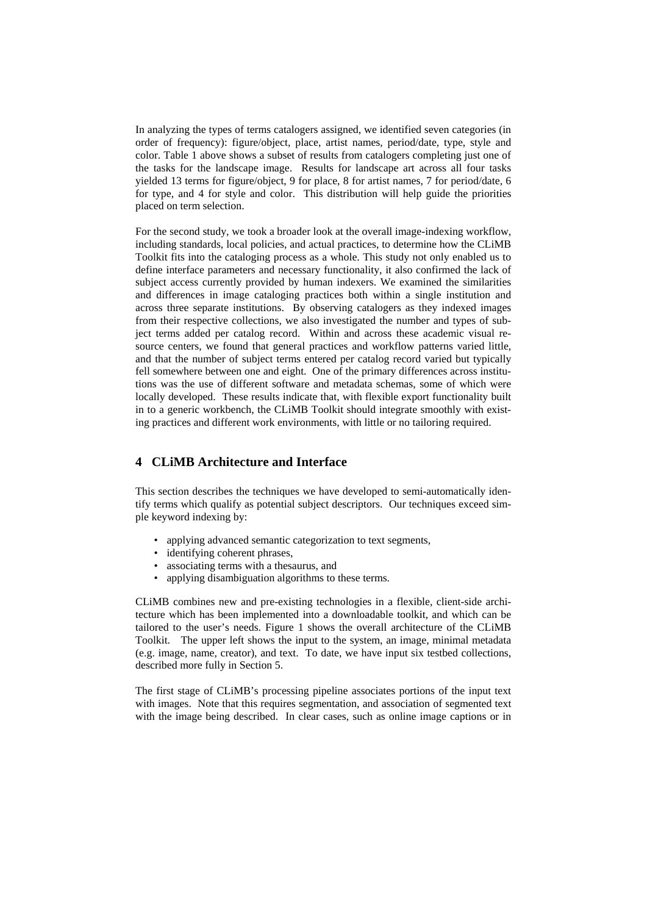In analyzing the types of terms catalogers assigned, we identified seven categories (in order of frequency): figure/object, place, artist names, period/date, type, style and color. Table 1 above shows a subset of results from catalogers completing just one of the tasks for the landscape image. Results for landscape art across all four tasks yielded 13 terms for figure/object, 9 for place, 8 for artist names, 7 for period/date, 6 for type, and 4 for style and color. This distribution will help guide the priorities placed on term selection.

For the second study, we took a broader look at the overall image-indexing workflow, including standards, local policies, and actual practices, to determine how the CLiMB Toolkit fits into the cataloging process as a whole. This study not only enabled us to define interface parameters and necessary functionality, it also confirmed the lack of subject access currently provided by human indexers. We examined the similarities and differences in image cataloging practices both within a single institution and across three separate institutions. By observing catalogers as they indexed images from their respective collections, we also investigated the number and types of subject terms added per catalog record. Within and across these academic visual resource centers, we found that general practices and workflow patterns varied little, and that the number of subject terms entered per catalog record varied but typically fell somewhere between one and eight. One of the primary differences across institutions was the use of different software and metadata schemas, some of which were locally developed. These results indicate that, with flexible export functionality built in to a generic workbench, the CLiMB Toolkit should integrate smoothly with existing practices and different work environments, with little or no tailoring required.

## **4 CLiMB Architecture and Interface**

This section describes the techniques we have developed to semi-automatically identify terms which qualify as potential subject descriptors. Our techniques exceed simple keyword indexing by:

- applying advanced semantic categorization to text segments,
- identifying coherent phrases,
- associating terms with a thesaurus, and
- applying disambiguation algorithms to these terms.

CLiMB combines new and pre-existing technologies in a flexible, client-side architecture which has been implemented into a downloadable toolkit, and which can be tailored to the user's needs. Figure 1 shows the overall architecture of the CLiMB Toolkit. The upper left shows the input to the system, an image, minimal metadata (e.g. image, name, creator), and text. To date, we have input six testbed collections, described more fully in Section 5.

The first stage of CLiMB's processing pipeline associates portions of the input text with images. Note that this requires segmentation, and association of segmented text with the image being described. In clear cases, such as online image captions or in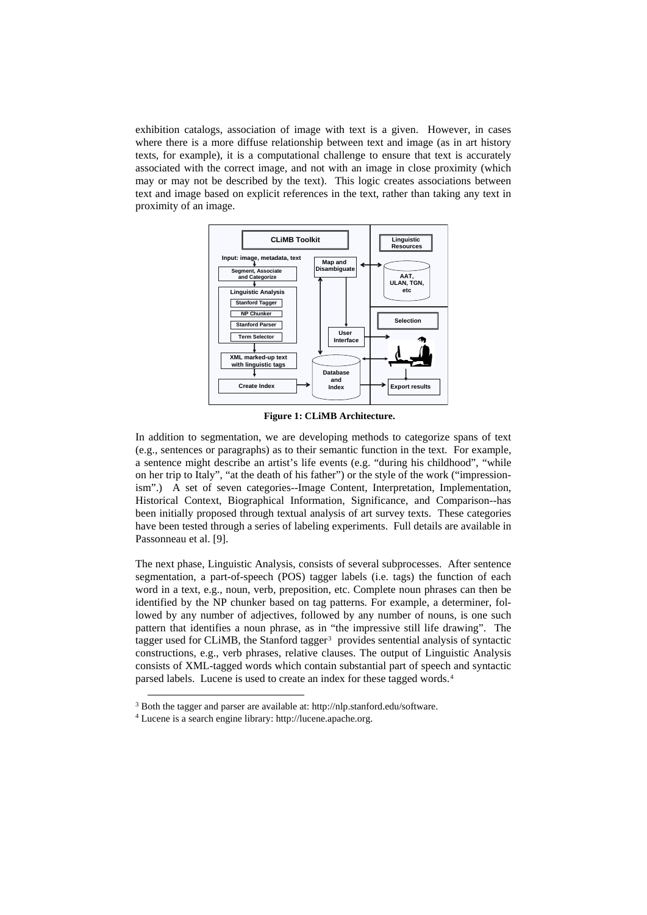exhibition catalogs, association of image with text is a given. However, in cases where there is a more diffuse relationship between text and image (as in art history texts, for example), it is a computational challenge to ensure that text is accurately associated with the correct image, and not with an image in close proximity (which may or may not be described by the text). This logic creates associations between text and image based on explicit references in the text, rather than taking any text in proximity of an image.



**Figure 1: CLiMB Architecture.** 

In addition to segmentation, we are developing methods to categorize spans of text (e.g., sentences or paragraphs) as to their semantic function in the text. For example, a sentence might describe an artist's life events (e.g. "during his childhood", "while on her trip to Italy", "at the death of his father") or the style of the work ("impressionism".) A set of seven categories--Image Content, Interpretation, Implementation, Historical Context, Biographical Information, Significance, and Comparison--has been initially proposed through textual analysis of art survey texts. These categories have been tested through a series of labeling experiments. Full details are available in Passonneau et al. [9].

The next phase, Linguistic Analysis, consists of several subprocesses. After sentence segmentation, a part-of-speech (POS) tagger labels (i.e. tags) the function of each word in a text, e.g., noun, verb, preposition, etc. Complete noun phrases can then be identified by the NP chunker based on tag patterns. For example, a determiner, followed by any number of adjectives, followed by any number of nouns, is one such pattern that identifies a noun phrase, as in "the impressive still life drawing". The tagger used for CLiMB, the Stanford tagger<sup>[3](#page-4-0)</sup> provides sentential analysis of syntactic constructions, e.g., verb phrases, relative clauses. The output of Linguistic Analysis consists of XML-tagged words which contain substantial part of speech and syntactic parsed labels. Lucene is used to create an index for these tagged words.[4](#page-4-1)

<span id="page-4-0"></span> $\frac{1}{3}R_0$  $3$  Both the tagger and parser are available at: http://nlp.stanford.edu/software.  $4$  Lucene is a search engine library: http://lucene.apache.org.

<span id="page-4-1"></span>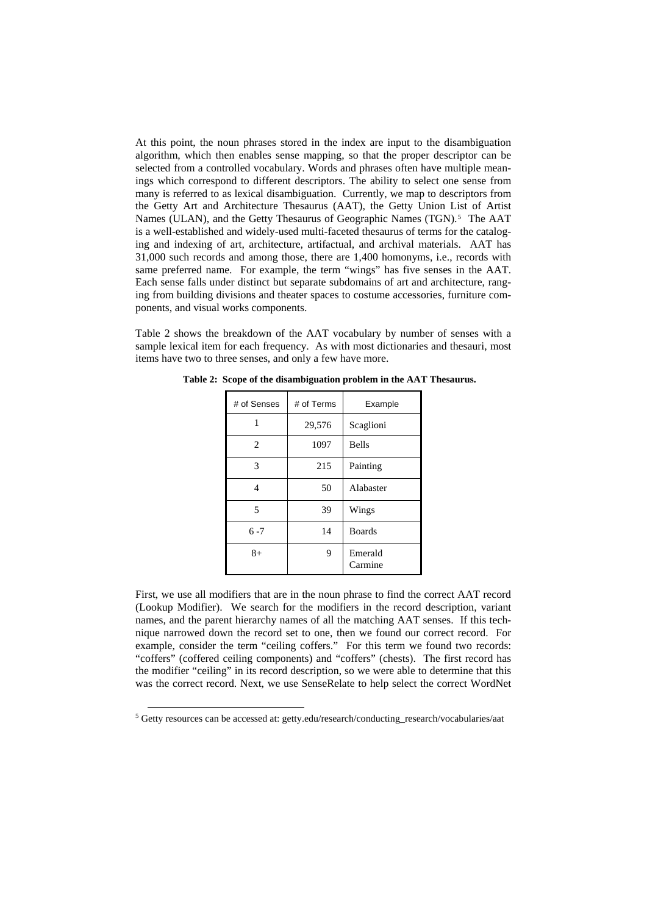At this point, the noun phrases stored in the index are input to the disambiguation algorithm, which then enables sense mapping, so that the proper descriptor can be selected from a controlled vocabulary. Words and phrases often have multiple meanings which correspond to different descriptors. The ability to select one sense from many is referred to as lexical disambiguation. Currently, we map to descriptors from the Getty Art and Architecture Thesaurus (AAT), the Getty Union List of Artist Names (ULAN), and the Getty Thesaurus of Geographic Names (TGN).<sup>[5](#page-5-0)</sup> The AAT is a well-established and widely-used multi-faceted thesaurus of terms for the cataloging and indexing of art, architecture, artifactual, and archival materials. AAT has 31,000 such records and among those, there are 1,400 homonyms, i.e., records with same preferred name. For example, the term "wings" has five senses in the AAT. Each sense falls under distinct but separate subdomains of art and architecture, ranging from building divisions and theater spaces to costume accessories, furniture components, and visual works components.

Table 2 shows the breakdown of the AAT vocabulary by number of senses with a sample lexical item for each frequency. As with most dictionaries and thesauri, most items have two to three senses, and only a few have more.

| # of Senses | # of Terms | Example            |
|-------------|------------|--------------------|
| 1           | 29,576     | Scaglioni          |
| 2           | 1097       | <b>Bells</b>       |
| 3           | 215        | Painting           |
| 4           | 50         | Alabaster          |
| 5           | 39         | Wings              |
| $6 - 7$     | 14         | <b>Boards</b>      |
| $8+$        | 9          | Emerald<br>Carmine |

**Table 2: Scope of the disambiguation problem in the AAT Thesaurus.** 

First, we use all modifiers that are in the noun phrase to find the correct AAT record (Lookup Modifier). We search for the modifiers in the record description, variant names, and the parent hierarchy names of all the matching AAT senses. If this technique narrowed down the record set to one, then we found our correct record. For example, consider the term "ceiling coffers." For this term we found two records: "coffers" (coffered ceiling components) and "coffers" (chests). The first record has the modifier "ceiling" in its record description, so we were able to determine that this was the correct record. Next, we use SenseRelate to help select the correct WordNet

<span id="page-5-0"></span> <sup>5</sup> Getty resources can be accessed at: getty.edu/research/conducting\_research/vocabularies/aat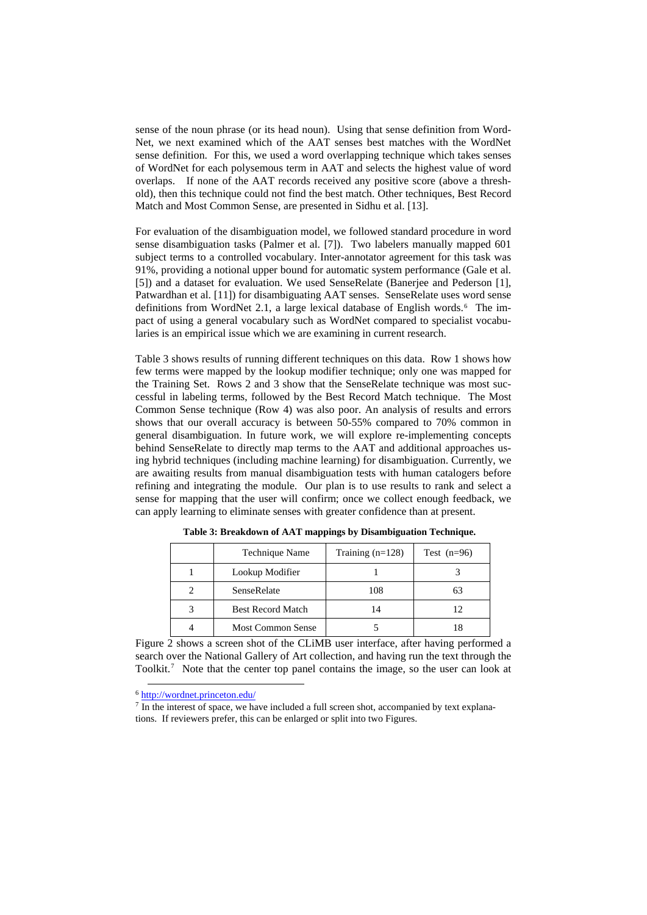sense of the noun phrase (or its head noun). Using that sense definition from Word-Net, we next examined which of the AAT senses best matches with the WordNet sense definition. For this, we used a word overlapping technique which takes senses of WordNet for each polysemous term in AAT and selects the highest value of word overlaps. If none of the AAT records received any positive score (above a threshold), then this technique could not find the best match. Other techniques, Best Record Match and Most Common Sense, are presented in Sidhu et al. [13].

For evaluation of the disambiguation model, we followed standard procedure in word sense disambiguation tasks (Palmer et al. [7]). Two labelers manually mapped 601 subject terms to a controlled vocabulary. Inter-annotator agreement for this task was 91%, providing a notional upper bound for automatic system performance (Gale et al. [5]) and a dataset for evaluation. We used SenseRelate (Banerjee and Pederson [1], Patwardhan et al. [11]) for disambiguating AAT senses. SenseRelate uses word sense definitions from WordNet 2.1, a large lexical database of English words.[6](#page-6-0) The impact of using a general vocabulary such as WordNet compared to specialist vocabularies is an empirical issue which we are examining in current research.

Table 3 shows results of running different techniques on this data. Row 1 shows how few terms were mapped by the lookup modifier technique; only one was mapped for the Training Set. Rows 2 and 3 show that the SenseRelate technique was most successful in labeling terms, followed by the Best Record Match technique. The Most Common Sense technique (Row 4) was also poor. An analysis of results and errors shows that our overall accuracy is between 50-55% compared to 70% common in general disambiguation. In future work, we will explore re-implementing concepts behind SenseRelate to directly map terms to the AAT and additional approaches using hybrid techniques (including machine learning) for disambiguation. Currently, we are awaiting results from manual disambiguation tests with human catalogers before refining and integrating the module. Our plan is to use results to rank and select a sense for mapping that the user will confirm; once we collect enough feedback, we can apply learning to eliminate senses with greater confidence than at present.

| Technique Name           | Training $(n=128)$ | Test $(n=96)$ |
|--------------------------|--------------------|---------------|
| Lookup Modifier          |                    |               |
| SenseRelate              | 108                |               |
| <b>Best Record Match</b> | 14                 |               |
| <b>Most Common Sense</b> |                    |               |

**Table 3: Breakdown of AAT mappings by Disambiguation Technique.** 

Figure 2 shows a screen shot of the CLiMB user interface, after having performed a search over the National Gallery of Art collection, and having run the text through the Toolkit.<sup>[7](#page-6-1)</sup> Note that the center top panel contains the image, so the user can look at

<span id="page-6-1"></span><span id="page-6-0"></span> $\frac{6 \text{ http://wordnet.princeton.edu/}}{7 \text{ In the interest of space, we have included a full screen shot, accompanied by text explana-}$  $\frac{6 \text{ http://wordnet.princeton.edu/}}{7 \text{ In the interest of space, we have included a full screen shot, accompanied by text explana-}$  $\frac{6 \text{ http://wordnet.princeton.edu/}}{7 \text{ In the interest of space, we have included a full screen shot, accompanied by text explana-}$ tions. If reviewers prefer, this can be enlarged or split into two Figures.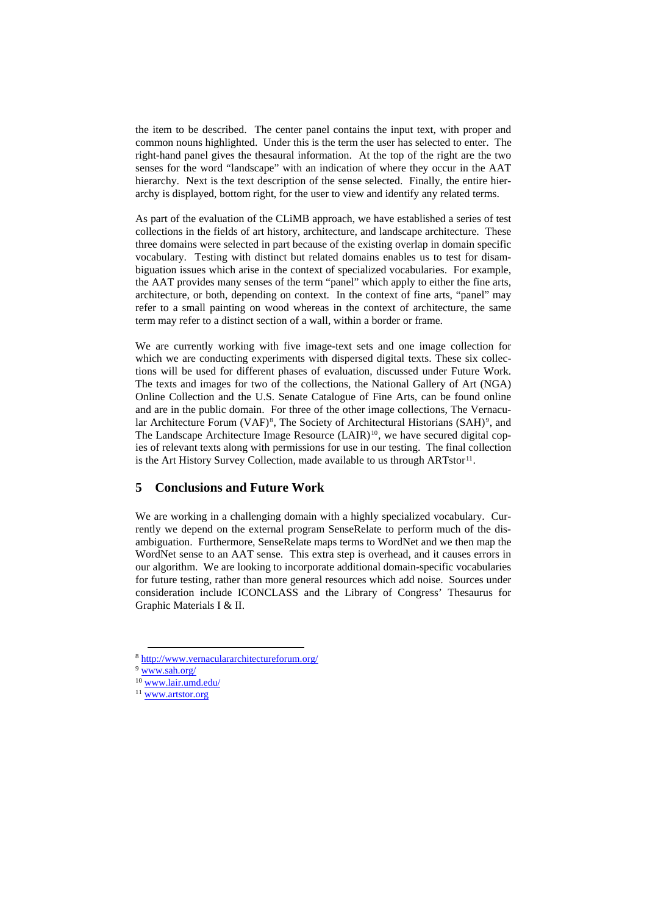the item to be described. The center panel contains the input text, with proper and common nouns highlighted. Under this is the term the user has selected to enter. The right-hand panel gives the thesaural information. At the top of the right are the two senses for the word "landscape" with an indication of where they occur in the AAT hierarchy. Next is the text description of the sense selected. Finally, the entire hierarchy is displayed, bottom right, for the user to view and identify any related terms.

As part of the evaluation of the CLiMB approach, we have established a series of test collections in the fields of art history, architecture, and landscape architecture. These three domains were selected in part because of the existing overlap in domain specific vocabulary. Testing with distinct but related domains enables us to test for disambiguation issues which arise in the context of specialized vocabularies. For example, the AAT provides many senses of the term "panel" which apply to either the fine arts, architecture, or both, depending on context. In the context of fine arts, "panel" may refer to a small painting on wood whereas in the context of architecture, the same term may refer to a distinct section of a wall, within a border or frame.

We are currently working with five image-text sets and one image collection for which we are conducting experiments with dispersed digital texts. These six collections will be used for different phases of evaluation, discussed under Future Work. The texts and images for two of the collections, the National Gallery of Art (NGA) Online Collection and the U.S. Senate Catalogue of Fine Arts, can be found online and are in the public domain. For three of the other image collections, The Vernacu-lar Architecture Forum (VAF)<sup>[8](#page-7-0)</sup>, The Society of Architectural Historians (SAH)<sup>[9](#page-7-1)</sup>, and The Landscape Architecture Image Resource (LAIR)<sup>[10](#page-7-2)</sup>, we have secured digital copies of relevant texts along with permissions for use in our testing. The final collection is the Art History Survey Collection, made available to us through  $ARTstor<sup>11</sup>$  $ARTstor<sup>11</sup>$  $ARTstor<sup>11</sup>$ .

### **5 Conclusions and Future Work**

We are working in a challenging domain with a highly specialized vocabulary. Currently we depend on the external program SenseRelate to perform much of the disambiguation. Furthermore, SenseRelate maps terms to WordNet and we then map the WordNet sense to an AAT sense. This extra step is overhead, and it causes errors in our algorithm. We are looking to incorporate additional domain-specific vocabularies for future testing, rather than more general resources which add noise. Sources under consideration include ICONCLASS and the Library of Congress' Thesaurus for Graphic Materials I & II.

<span id="page-7-0"></span> $9 \frac{\text{http://www.vernaculararchitectureforum.org/}}{\text{www.san.org/}}$ <br>  $10 \frac{\text{www.san.org/}}{\text{www.air.umd.edu/}}$ <br>  $11 \frac{\text{www.artstor.org}}{\text{www.artstor.org}}$  $11 \frac{\text{www.artstor.org}}{\text{www.artstor.org}}$  $11 \frac{\text{www.artstor.org}}{\text{www.artstor.org}}$ 

<span id="page-7-1"></span>

<span id="page-7-3"></span><span id="page-7-2"></span>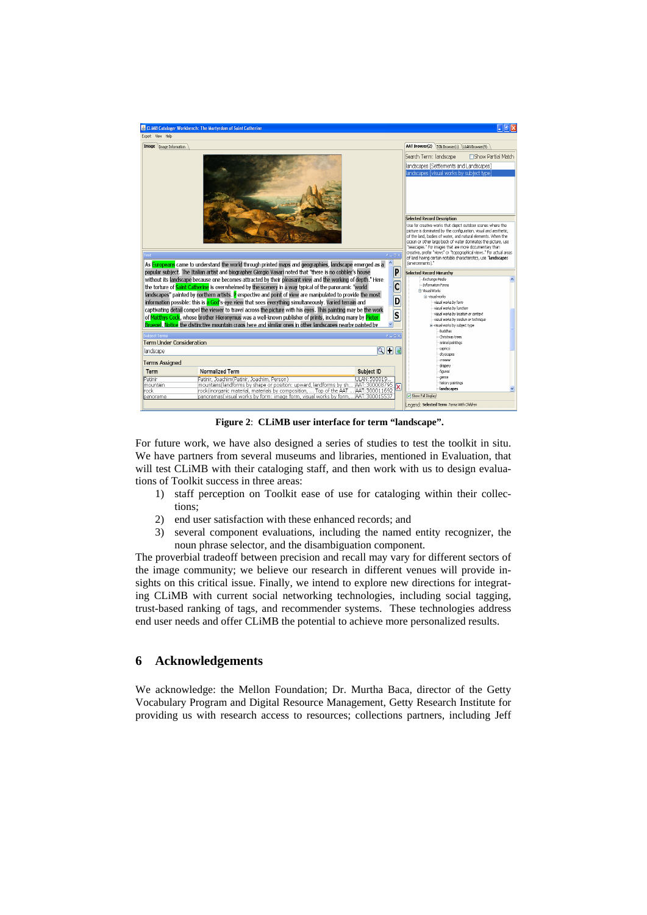

**Figure 2**: **CLiMB user interface for term "landscape".**

For future work, we have also designed a series of studies to test the toolkit in situ. We have partners from several museums and libraries, mentioned in Evaluation, that will test CLiMB with their cataloging staff, and then work with us to design evaluations of Toolkit success in three areas:

- 1) staff perception on Toolkit ease of use for cataloging within their collections;
- 2) end user satisfaction with these enhanced records; and
- 3) several component evaluations, including the named entity recognizer, the noun phrase selector, and the disambiguation component.

The proverbial tradeoff between precision and recall may vary for different sectors of the image community; we believe our research in different venues will provide insights on this critical issue. Finally, we intend to explore new directions for integrating CLiMB with current social networking technologies, including social tagging, trust-based ranking of tags, and recommender systems. These technologies address end user needs and offer CLiMB the potential to achieve more personalized results.

### **6 Acknowledgements**

We acknowledge: the Mellon Foundation; Dr. Murtha Baca, director of the Getty Vocabulary Program and Digital Resource Management, Getty Research Institute for providing us with research access to resources; collections partners, including Jeff